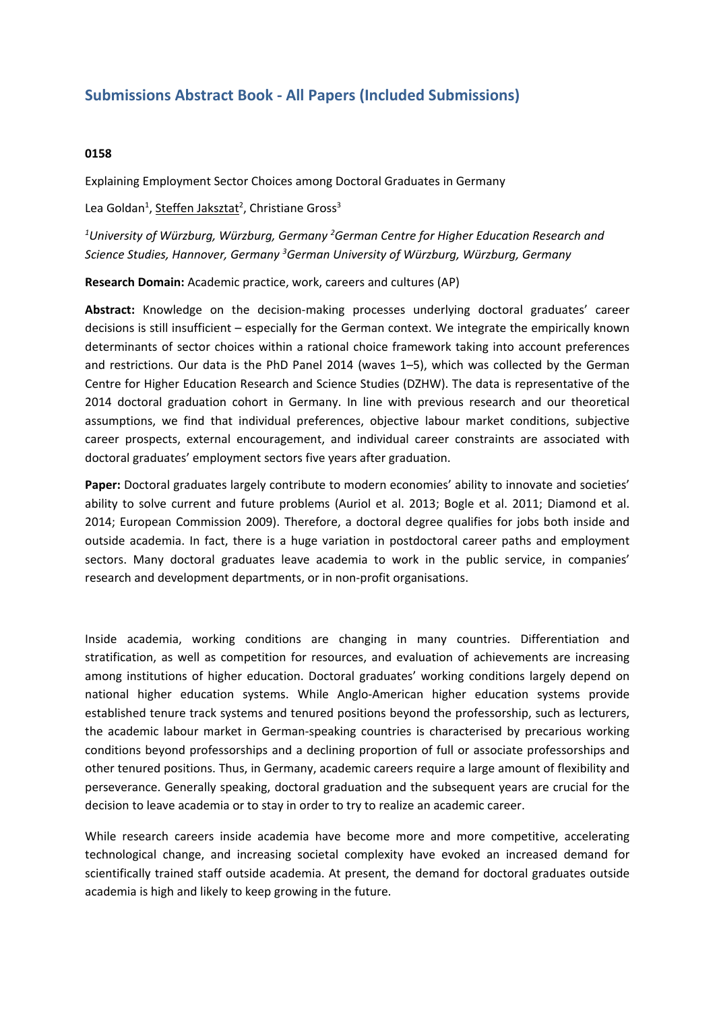## **Submissions Abstract Book - All Papers (Included Submissions)**

## **0158**

Explaining Employment Sector Choices among Doctoral Graduates in Germany

Lea Goldan<sup>1</sup>, <u>Steffen Jaksztat</u><sup>2</sup>, Christiane Gross<sup>3</sup>

*1 University of Würzburg, Würzburg, Germany 2 German Centre for Higher Education Research and Science Studies, Hannover, Germany 3 German University of Würzburg, Würzburg, Germany*

**Research Domain:** Academic practice, work, careers and cultures (AP)

**Abstract:** Knowledge on the decision-making processes underlying doctoral graduates' career decisions is still insufficient – especially for the German context. We integrate the empirically known determinants of sector choices within <sup>a</sup> rational choice framework taking into account preferences and restrictions. Our data is the PhD Panel 2014 (waves 1–5), which was collected by the German Centre for Higher Education Research and Science Studies (DZHW). The data is representative of the 2014 doctoral graduation cohort in Germany. In line with previous research and our theoretical assumptions, we find that individual preferences, objective labour market conditions, subjective career prospects, external encouragement, and individual career constraints are associated with doctoral graduates' employment sectors five years after graduation.

**Paper:** Doctoral graduates largely contribute to modern economies' ability to innovate and societies' ability to solve current and future problems (Auriol et al. 2013; Bogle et al. 2011; Diamond et al. 2014; European Commission 2009). Therefore, <sup>a</sup> doctoral degree qualifies for jobs both inside and outside academia. In fact, there is <sup>a</sup> huge variation in postdoctoral career paths and employment sectors. Many doctoral graduates leave academia to work in the public service, in companies' research and development departments, or in non-profit organisations.

Inside academia, working conditions are changing in many countries. Differentiation and stratification, as well as competition for resources, and evaluation of achievements are increasing among institutions of higher education. Doctoral graduates' working conditions largely depend on national higher education systems. While Anglo-American higher education systems provide established tenure track systems and tenured positions beyond the professorship, such as lecturers, the academic labour market in German-speaking countries is characterised by precarious working conditions beyond professorships and <sup>a</sup> declining proportion of full or associate professorships and other tenured positions. Thus, in Germany, academic careers require <sup>a</sup> large amount of flexibility and perseverance. Generally speaking, doctoral graduation and the subsequent years are crucial for the decision to leave academia or to stay in order to try to realize an academic career.

While research careers inside academia have become more and more competitive, accelerating technological change, and increasing societal complexity have evoked an increased demand for scientifically trained staff outside academia. At present, the demand for doctoral graduates outside academia is high and likely to keep growing in the future.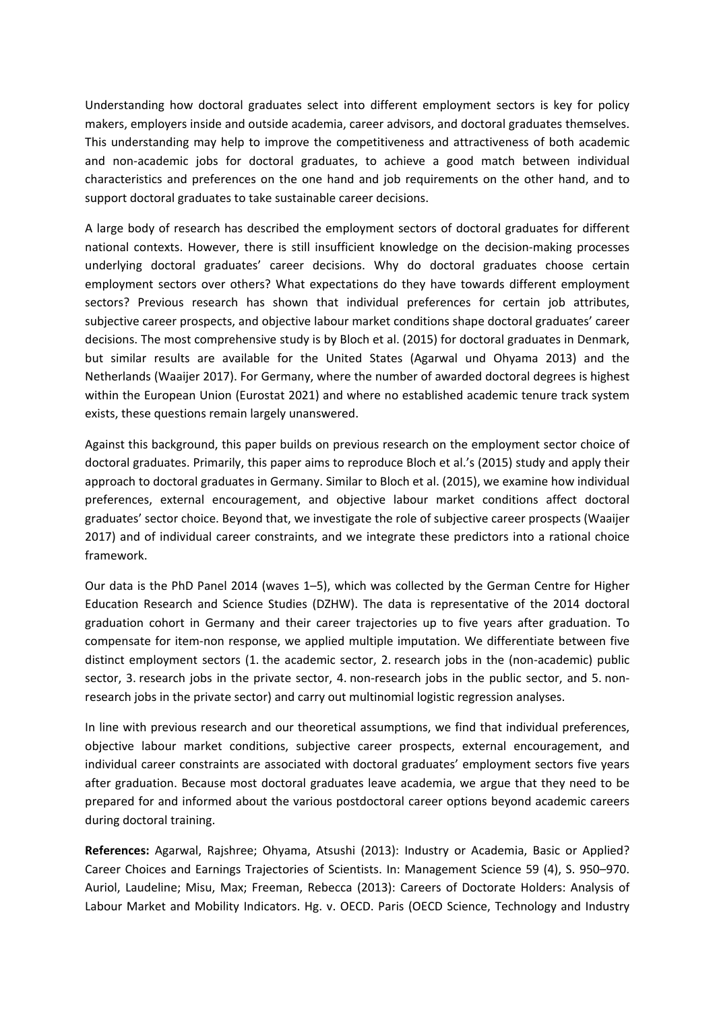Understanding how doctoral graduates select into different employment sectors is key for policy makers, employers inside and outside academia, career advisors, and doctoral graduates themselves. This understanding may help to improve the competitiveness and attractiveness of both academic and non-academic jobs for doctoral graduates, to achieve <sup>a</sup> good match between individual characteristics and preferences on the one hand and job requirements on the other hand, and to support doctoral graduates to take sustainable career decisions.

A large body of research has described the employment sectors of doctoral graduates for different national contexts. However, there is still insufficient knowledge on the decision-making processes underlying doctoral graduates' career decisions. Why do doctoral graduates choose certain employment sectors over others? What expectations do they have towards different employment sectors? Previous research has shown that individual preferences for certain job attributes, subjective career prospects, and objective labour market conditions shape doctoral graduates' career decisions. The most comprehensive study is by Bloch et al. (2015) for doctoral graduates in Denmark, but similar results are available for the United States (Agarwal und Ohyama 2013) and the Netherlands (Waaijer 2017). For Germany, where the number of awarded doctoral degrees is highest within the European Union (Eurostat 2021) and where no established academic tenure track system exists, these questions remain largely unanswered.

Against this background, this paper builds on previous research on the employment sector choice of doctoral graduates. Primarily, this paper aims to reproduce Bloch et al.'s (2015) study and apply their approach to doctoral graduates in Germany. Similar to Bloch et al. (2015), we examine how individual preferences, external encouragement, and objective labour market conditions affect doctoral graduates' sector choice. Beyond that, we investigate the role of subjective career prospects (Waaijer 2017) and of individual career constraints, and we integrate these predictors into <sup>a</sup> rational choice framework.

Our data is the PhD Panel 2014 (waves 1–5), which was collected by the German Centre for Higher Education Research and Science Studies (DZHW). The data is representative of the 2014 doctoral graduation cohort in Germany and their career trajectories up to five years after graduation. To compensate for item-non response, we applied multiple imputation. We differentiate between five distinct employment sectors (1. the academic sector, 2. research jobs in the (non-academic) public sector, 3. research jobs in the private sector, 4. non-research jobs in the public sector, and 5. nonresearch jobs in the private sector) and carry out multinomial logistic regression analyses.

In line with previous research and our theoretical assumptions, we find that individual preferences, objective labour market conditions, subjective career prospects, external encouragement, and individual career constraints are associated with doctoral graduates' employment sectors five years after graduation. Because most doctoral graduates leave academia, we argue that they need to be prepared for and informed about the various postdoctoral career options beyond academic careers during doctoral training.

**References:** Agarwal, Rajshree; Ohyama, Atsushi (2013): Industry or Academia, Basic or Applied? Career Choices and Earnings Trajectories of Scientists. In: Management Science 59 (4), S. 950–970. Auriol, Laudeline; Misu, Max; Freeman, Rebecca (2013): Careers of Doctorate Holders: Analysis of Labour Market and Mobility Indicators. Hg. v. OECD. Paris (OECD Science, Technology and Industry